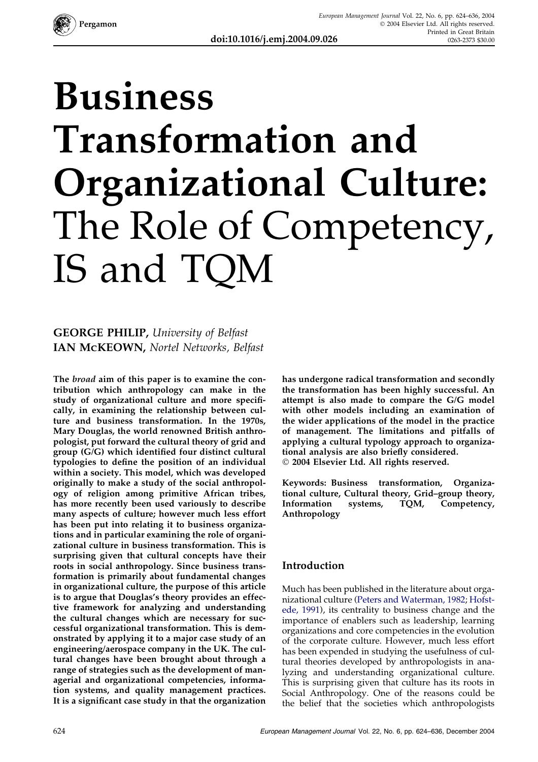

# Business Transformation and Organizational Culture: The Role of Competency, IS and TQM

### GEORGE PHILIP, University of Belfast IAN MCKEOWN, Nortel Networks, Belfast

The *broad* aim of this paper is to examine the contribution which anthropology can make in the study of organizational culture and more specifically, in examining the relationship between culture and business transformation. In the 1970s, Mary Douglas, the world renowned British anthropologist, put forward the cultural theory of grid and group (G/G) which identified four distinct cultural typologies to define the position of an individual within a society. This model, which was developed originally to make a study of the social anthropology of religion among primitive African tribes, has more recently been used variously to describe many aspects of culture; however much less effort has been put into relating it to business organizations and in particular examining the role of organizational culture in business transformation. This is surprising given that cultural concepts have their roots in social anthropology. Since business transformation is primarily about fundamental changes in organizational culture, the purpose of this article is to argue that Douglas's theory provides an effective framework for analyzing and understanding the cultural changes which are necessary for successful organizational transformation. This is demonstrated by applying it to a major case study of an engineering/aerospace company in the UK. The cultural changes have been brought about through a range of strategies such as the development of managerial and organizational competencies, information systems, and quality management practices. It is a significant case study in that the organization

has undergone radical transformation and secondly the transformation has been highly successful. An attempt is also made to compare the G/G model with other models including an examination of the wider applications of the model in the practice of management. The limitations and pitfalls of applying a cultural typology approach to organizational analysis are also briefly considered. 2004 Elsevier Ltd. All rights reserved.

Keywords: Business transformation, Organizational culture, Cultural theory, Grid–group theory, Information systems, TQM, Competency, Anthropology

#### Introduction

Much has been published in the literature about organizational culture [\(Peters and Waterman, 1982;](#page--1-0) [Hofst](#page--1-0)[ede, 1991\)](#page--1-0), its centrality to business change and the importance of enablers such as leadership, learning organizations and core competencies in the evolution of the corporate culture. However, much less effort has been expended in studying the usefulness of cultural theories developed by anthropologists in analyzing and understanding organizational culture. This is surprising given that culture has its roots in Social Anthropology. One of the reasons could be the belief that the societies which anthropologists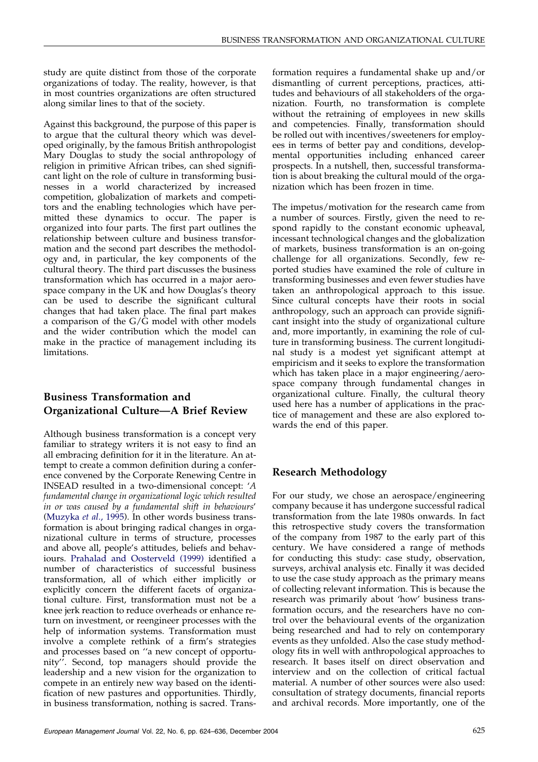study are quite distinct from those of the corporate organizations of today. The reality, however, is that in most countries organizations are often structured along similar lines to that of the society.

Against this background, the purpose of this paper is to argue that the cultural theory which was developed originally, by the famous British anthropologist Mary Douglas to study the social anthropology of religion in primitive African tribes, can shed significant light on the role of culture in transforming businesses in a world characterized by increased competition, globalization of markets and competitors and the enabling technologies which have permitted these dynamics to occur. The paper is organized into four parts. The first part outlines the relationship between culture and business transformation and the second part describes the methodology and, in particular, the key components of the cultural theory. The third part discusses the business transformation which has occurred in a major aerospace company in the UK and how Douglas's theory can be used to describe the significant cultural changes that had taken place. The final part makes a comparison of the G/G model with other models and the wider contribution which the model can make in the practice of management including its limitations.

#### Business Transformation and Organizational Culture—A Brief Review

Although business transformation is a concept very familiar to strategy writers it is not easy to find an all embracing definition for it in the literature. An attempt to create a common definition during a conference convened by the Corporate Renewing Centre in INSEAD resulted in a two-dimensional concept: 'A fundamental change in organizational logic which resulted in or was caused by a fundamental shift in behaviours' ([Muzyka](#page--1-0) et al., 1995). In other words business transformation is about bringing radical changes in organizational culture in terms of structure, processes and above all, people's attitudes, beliefs and behaviours. [Prahalad and Oosterveld \(1999\)](#page--1-0) identified a number of characteristics of successful business transformation, all of which either implicitly or explicitly concern the different facets of organizational culture. First, transformation must not be a knee jerk reaction to reduce overheads or enhance return on investment, or reengineer processes with the help of information systems. Transformation must involve a complete rethink of a firm's strategies and processes based on ''a new concept of opportunity''. Second, top managers should provide the leadership and a new vision for the organization to compete in an entirely new way based on the identification of new pastures and opportunities. Thirdly, in business transformation, nothing is sacred. Transformation requires a fundamental shake up and/or dismantling of current perceptions, practices, attitudes and behaviours of all stakeholders of the organization. Fourth, no transformation is complete without the retraining of employees in new skills and competencies. Finally, transformation should be rolled out with incentives/sweeteners for employees in terms of better pay and conditions, developmental opportunities including enhanced career prospects. In a nutshell, then, successful transformation is about breaking the cultural mould of the organization which has been frozen in time.

The impetus/motivation for the research came from a number of sources. Firstly, given the need to respond rapidly to the constant economic upheaval, incessant technological changes and the globalization of markets, business transformation is an on-going challenge for all organizations. Secondly, few reported studies have examined the role of culture in transforming businesses and even fewer studies have taken an anthropological approach to this issue. Since cultural concepts have their roots in social anthropology, such an approach can provide significant insight into the study of organizational culture and, more importantly, in examining the role of culture in transforming business. The current longitudinal study is a modest yet significant attempt at empiricism and it seeks to explore the transformation which has taken place in a major engineering/aerospace company through fundamental changes in organizational culture. Finally, the cultural theory used here has a number of applications in the practice of management and these are also explored towards the end of this paper.

#### Research Methodology

For our study, we chose an aerospace/engineering company because it has undergone successful radical transformation from the late 1980s onwards. In fact this retrospective study covers the transformation of the company from 1987 to the early part of this century. We have considered a range of methods for conducting this study: case study, observation, surveys, archival analysis etc. Finally it was decided to use the case study approach as the primary means of collecting relevant information. This is because the research was primarily about 'how' business transformation occurs, and the researchers have no control over the behavioural events of the organization being researched and had to rely on contemporary events as they unfolded. Also the case study methodology fits in well with anthropological approaches to research. It bases itself on direct observation and interview and on the collection of critical factual material. A number of other sources were also used: consultation of strategy documents, financial reports and archival records. More importantly, one of the